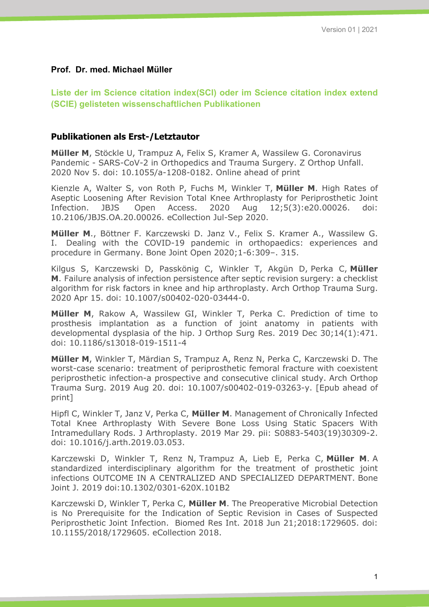#### **Prof. Dr. med. Michael Müller**

**Liste der im Science citation index(SCI) oder im Science citation index extend (SCIE) gelisteten wissenschaftlichen Publikationen**

#### **Publikationen als Erst-/Letztautor**

**Müller M**, Stöckle U, Trampuz A, Felix S, Kramer A, Wassilew G. Coronavirus Pandemic - SARS-CoV-2 in Orthopedics and Trauma Surgery. Z Orthop Unfall. 2020 Nov 5. doi: 10.1055/a-1208-0182. Online ahead of print

Kienzle A, Walter S, von Roth P, Fuchs M, Winkler T, **Müller M**. High Rates of Aseptic Loosening After Revision Total Knee Arthroplasty for Periprosthetic Joint Infection. JBJS Open Access. 2020 Aug 12;5(3):e20.00026. doi: 10.2106/JBJS.OA.20.00026. eCollection Jul-Sep 2020.

**Müller M**., Böttner F. Karczewski D. Janz V., Felix S. Kramer A., Wassilew G. I. Dealing with the COVID-19 pandemic in orthopaedics: experiences and procedure in Germany. Bone Joint Open 2020;1-6:309–. 315.

Kilgus S, Karczewski D, Passkönig C, Winkler T, Akgün D, Perka C, **Müller M**. Failure analysis of infection persistence after septic revision surgery: a checklist algorithm for risk factors in knee and hip arthroplasty. Arch Orthop Trauma Surg. 2020 Apr 15. doi: 10.1007/s00402-020-03444-0.

**Müller M**, Rakow A, Wassilew GI, Winkler T, Perka C. Prediction of time to prosthesis implantation as a function of joint anatomy in patients with developmental dysplasia of the hip. J Orthop Surg Res. 2019 Dec 30;14(1):471. doi: 10.1186/s13018-019-1511-4

**Müller M**, Winkler T, Märdian S, Trampuz A, Renz N, Perka C, Karczewski D. The worst-case scenario: treatment of periprosthetic femoral fracture with coexistent periprosthetic infection-a prospective and consecutive clinical study. Arch Orthop Trauma Surg. 2019 Aug 20. doi: 10.1007/s00402-019-03263-y. [Epub ahead of print]

Hipfl C, Winkler T, Janz V, Perka C, **Müller M**. Management of Chronically Infected Total Knee Arthroplasty With Severe Bone Loss Using Static Spacers With Intramedullary Rods. J Arthroplasty. 2019 Mar 29. pii: S0883-5403(19)30309-2. doi: 10.1016/j.arth.2019.03.053.

Karczewski D, Winkler T, Renz N, Trampuz A, Lieb E, Perka C, **Müller M**. A standardized interdisciplinary algorithm for the treatment of prosthetic joint infections OUTCOME IN A CENTRALIZED AND SPECIALIZED DEPARTMENT. Bone Joint J. 2019 doi:10.1302/0301-620X.101B2

Karczewski D, Winkler T, Perka C, **Müller M**. The Preoperative Microbial Detection is No Prerequisite for the Indication of Septic Revision in Cases of Suspected Periprosthetic Joint Infection. Biomed Res Int. 2018 Jun 21;2018:1729605. doi: 10.1155/2018/1729605. eCollection 2018.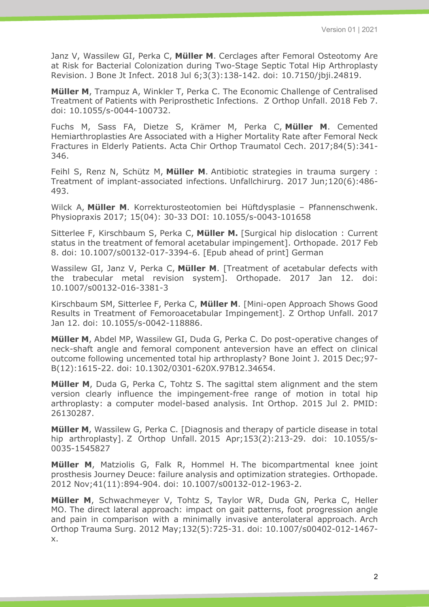Janz V, Wassilew GI, Perka C, **Müller M**. Cerclages after Femoral Osteotomy Are at Risk for Bacterial Colonization during Two-Stage Septic Total Hip Arthroplasty Revision. J Bone Jt Infect. 2018 Jul 6;3(3):138-142. doi: 10.7150/jbji.24819.

**Müller M**, Trampuz A, Winkler T, Perka C. The Economic Challenge of Centralised Treatment of Patients with Periprosthetic Infections. Z Orthop Unfall. 2018 Feb 7. doi: 10.1055/s-0044-100732.

Fuchs M, Sass FA, Dietze S, Krämer M, Perka C, **Müller M**. Cemented Hemiarthroplasties Are Associated with a Higher Mortality Rate after Femoral Neck Fractures in Elderly Patients. Acta Chir Orthop Traumatol Cech. 2017;84(5):341- 346.

Feihl S, Renz N, Schütz M, **Müller M**. Antibiotic strategies in trauma surgery : Treatment of implant-associated infections. Unfallchirurg. 2017 Jun;120(6):486- 493.

Wilck A, **Müller M**. Korrekturosteotomien bei Hüftdysplasie – Pfannenschwenk. Physiopraxis 2017; 15(04): 30-33 DOI: 10.1055/s-0043-101658

Sitterlee F, Kirschbaum S, Perka C, **Müller M.** [Surgical hip dislocation : Current status in the treatment of femoral acetabular impingement]. Orthopade. 2017 Feb 8. doi: 10.1007/s00132-017-3394-6. [Epub ahead of print] German

Wassilew GI, Janz V, Perka C, **Müller M**. [Treatment of acetabular defects with the trabecular metal revision system]. Orthopade. 2017 Jan 12. doi: 10.1007/s00132-016-3381-3

Kirschbaum SM, Sitterlee F, Perka C, **Müller M**. [Mini-open Approach Shows Good Results in Treatment of Femoroacetabular Impingement]. Z Orthop Unfall. 2017 Jan 12. doi: 10.1055/s-0042-118886.

**Müller M**, Abdel MP, Wassilew GI, Duda G, Perka C. Do post-operative changes of neck-shaft angle and femoral component anteversion have an effect on clinical outcome following uncemented total hip arthroplasty? Bone Joint J. 2015 Dec;97- B(12):1615-22. doi: 10.1302/0301-620X.97B12.34654.

**Müller M**, Duda G, Perka C, Tohtz S. The sagittal stem alignment and the stem version clearly influence the impingement-free range of motion in total hip arthroplasty: a computer model-based analysis. Int Orthop. 2015 Jul 2. PMID: 26130287.

**Müller M**, Wassilew G, Perka C. [Diagnosis and therapy of particle disease in total hip arthroplasty]. Z Orthop Unfall. 2015 Apr;153(2):213-29. doi: 10.1055/s-0035-1545827

**Müller M**, Matziolis G, Falk R, Hommel H. The bicompartmental knee joint prosthesis Journey Deuce: failure analysis and optimization strategies. Orthopade. 2012 Nov;41(11):894-904. doi: 10.1007/s00132-012-1963-2.

**Müller M**, Schwachmeyer V, Tohtz S, Taylor WR, Duda GN, Perka C, Heller MO. The direct lateral approach: impact on gait patterns, foot progression angle and pain in comparison with a minimally invasive anterolateral approach. Arch Orthop Trauma Surg. 2012 May;132(5):725-31. doi: 10.1007/s00402-012-1467 x.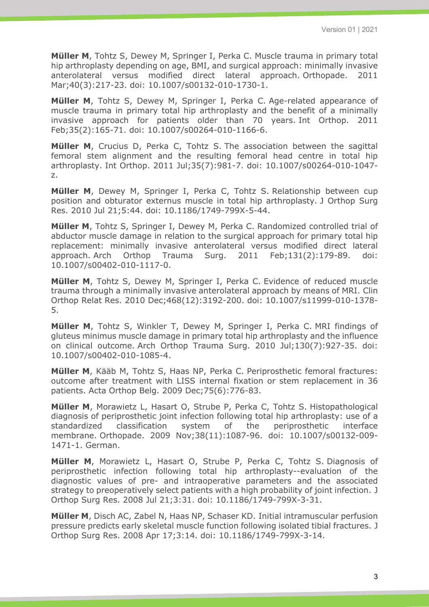**Müller M**, Tohtz S, Dewey M, Springer I, Perka C. Muscle trauma in primary total hip arthroplasty depending on age, BMI, and surgical approach: minimally invasive anterolateral versus modified direct lateral approach. Orthopade. 2011 Mar;40(3):217-23. doi: 10.1007/s00132-010-1730-1.

**Müller M**, Tohtz S, Dewey M, Springer I, Perka C. Age-related appearance of muscle trauma in primary total hip arthroplasty and the benefit of a minimally invasive approach for patients older than 70 years. Int Orthop. 2011 Feb;35(2):165-71. doi: 10.1007/s00264-010-1166-6.

**Müller M**, Crucius D, Perka C, Tohtz S. The association between the sagittal femoral stem alignment and the resulting femoral head centre in total hip arthroplasty. Int Orthop. 2011 Jul;35(7):981-7. doi: 10.1007/s00264-010-1047 z.

**Müller M**, Dewey M, Springer I, Perka C, Tohtz S. Relationship between cup position and obturator externus muscle in total hip arthroplasty. J Orthop Surg Res. 2010 Jul 21;5:44. doi: 10.1186/1749-799X-5-44.

**Müller M**, Tohtz S, Springer I, Dewey M, Perka C. Randomized controlled trial of abductor muscle damage in relation to the surgical approach for primary total hip replacement: minimally invasive anterolateral versus modified direct lateral approach. Arch Orthop Trauma Surg. 2011 Feb;131(2):179-89. doi: 10.1007/s00402-010-1117-0.

**Müller M**, Tohtz S, Dewey M, Springer I, Perka C. Evidence of reduced muscle trauma through a minimally invasive anterolateral approach by means of MRI. Clin Orthop Relat Res. 2010 Dec;468(12):3192-200. doi: 10.1007/s11999-010-1378- 5.

**Müller M**, Tohtz S, Winkler T, Dewey M, Springer I, Perka C. MRI findings of gluteus minimus muscle damage in primary total hip arthroplasty and the influence on clinical outcome. Arch Orthop Trauma Surg. 2010 Jul;130(7):927-35. doi: 10.1007/s00402-010-1085-4.

**Müller M**, Kääb M, Tohtz S, Haas NP, Perka C. Periprosthetic femoral fractures: outcome after treatment with LISS internal fixation or stem replacement in 36 patients. Acta Orthop Belg. 2009 Dec;75(6):776-83.

**Müller M**, Morawietz L, Hasart O, Strube P, Perka C, Tohtz S. Histopathological diagnosis of periprosthetic joint infection following total hip arthroplasty: use of a standardized classification system of the periprosthetic interface membrane. Orthopade. 2009 Nov;38(11):1087-96. doi: 10.1007/s00132-009- 1471-1. German.

**Müller M**, Morawietz L, Hasart O, Strube P, Perka C, Tohtz S. Diagnosis of periprosthetic infection following total hip arthroplasty--evaluation of the diagnostic values of pre- and intraoperative parameters and the associated strategy to preoperatively select patients with a high probability of joint infection. J Orthop Surg Res. 2008 Jul 21;3:31. doi: 10.1186/1749-799X-3-31.

**Müller M**, Disch AC, Zabel N, Haas NP, Schaser KD. Initial intramuscular perfusion pressure predicts early skeletal muscle function following isolated tibial fractures. J Orthop Surg Res. 2008 Apr 17;3:14. doi: 10.1186/1749-799X-3-14.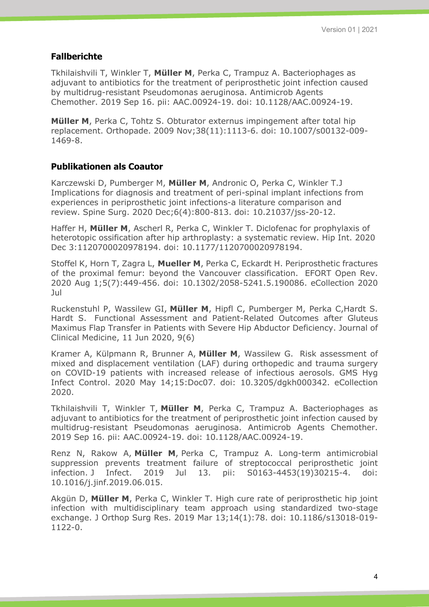#### **Fallberichte**

Tkhilaishvili T, Winkler T, **Müller M**, Perka C, Trampuz A. Bacteriophages as adjuvant to antibiotics for the treatment of periprosthetic joint infection caused by multidrug-resistant Pseudomonas aeruginosa. Antimicrob Agents Chemother. 2019 Sep 16. pii: AAC.00924-19. doi: 10.1128/AAC.00924-19.

**Müller M**, Perka C, Tohtz S. Obturator externus impingement after total hip replacement. Orthopade. 2009 Nov;38(11):1113-6. doi: 10.1007/s00132-009- 1469-8.

### **Publikationen als Coautor**

Karczewski D, Pumberger M, **Müller M**, Andronic O, Perka C, Winkler T.J Implications for diagnosis and treatment of peri-spinal implant infections from experiences in periprosthetic joint infections-a literature comparison and review. Spine Surg. 2020 Dec;6(4):800-813. doi: 10.21037/jss-20-12.

Haffer H, **Müller M**, Ascherl R, Perka C, Winkler T. Diclofenac for prophylaxis of heterotopic ossification after hip arthroplasty: a systematic review. Hip Int. 2020 Dec 3:1120700020978194. doi: 10.1177/1120700020978194.

Stoffel K, Horn T, Zagra L, **Mueller M**, Perka C, Eckardt H. Periprosthetic fractures of the proximal femur: beyond the Vancouver classification. EFORT Open Rev. 2020 Aug 1;5(7):449-456. doi: 10.1302/2058-5241.5.190086. eCollection 2020 Jul

Ruckenstuhl P, Wassilew GI, **Müller M**, Hipfl C, Pumberger M, Perka C,Hardt S. Hardt S. Functional Assessment and Patient-Related Outcomes after Gluteus Maximus Flap Transfer in Patients with Severe Hip Abductor Deficiency. Journal of Clinical Medicine, 11 Jun 2020, 9(6)

Kramer A, Külpmann R, Brunner A, **Müller M**, Wassilew G. Risk assessment of mixed and displacement ventilation (LAF) during orthopedic and trauma surgery on COVID-19 patients with increased release of infectious aerosols. GMS Hyg Infect Control. 2020 May 14;15:Doc07. doi: 10.3205/dgkh000342. eCollection 2020.

Tkhilaishvili T, Winkler T, **Müller M**, Perka C, Trampuz A. Bacteriophages as adjuvant to antibiotics for the treatment of periprosthetic joint infection caused by multidrug-resistant Pseudomonas aeruginosa. Antimicrob Agents Chemother. 2019 Sep 16. pii: AAC.00924-19. doi: 10.1128/AAC.00924-19.

Renz N, Rakow A, **Müller M**, Perka C, Trampuz A. Long-term antimicrobial suppression prevents treatment failure of streptococcal periprosthetic joint infection. J Infect. 2019 Jul 13. pii: S0163-4453(19)30215-4. doi: 10.1016/j.jinf.2019.06.015.

Akgün D, **Müller M**, Perka C, Winkler T. High cure rate of periprosthetic hip joint infection with multidisciplinary team approach using standardized two-stage exchange. J Orthop Surg Res. 2019 Mar 13;14(1):78. doi: 10.1186/s13018-019- 1122-0.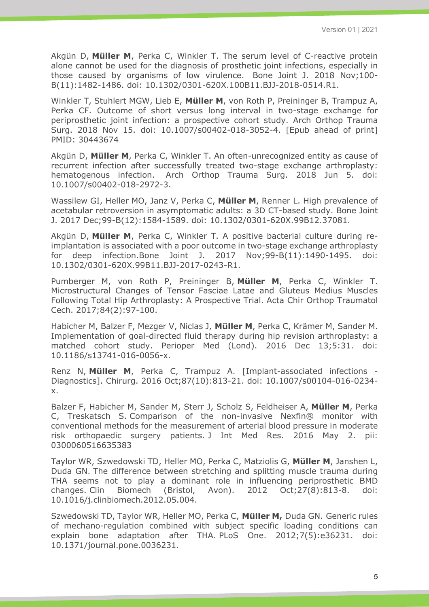Akgün D, **Müller M**, Perka C, Winkler T. The serum level of C-reactive protein alone cannot be used for the diagnosis of prosthetic joint infections, especially in those caused by organisms of low virulence. Bone Joint J. 2018 Nov;100- B(11):1482-1486. doi: 10.1302/0301-620X.100B11.BJJ-2018-0514.R1.

Winkler T, Stuhlert MGW, Lieb E, **Müller M**, von Roth P, Preininger B, Trampuz A, Perka CF. Outcome of short versus long interval in two-stage exchange for periprosthetic joint infection: a prospective cohort study. Arch Orthop Trauma Surg. 2018 Nov 15. doi: 10.1007/s00402-018-3052-4. [Epub ahead of print] PMID: 30443674

Akgün D, **Müller M**, Perka C, Winkler T. An often-unrecognized entity as cause of recurrent infection after successfully treated two-stage exchange arthroplasty: hematogenous infection. Arch Orthop Trauma Surg. 2018 Jun 5. doi: 10.1007/s00402-018-2972-3.

Wassilew GI, Heller MO, Janz V, Perka C, **Müller M**, Renner L. High prevalence of acetabular retroversion in asymptomatic adults: a 3D CT-based study. Bone Joint J. 2017 Dec;99-B(12):1584-1589. doi: 10.1302/0301-620X.99B12.37081.

Akgün D, **Müller M**, Perka C, Winkler T. A positive bacterial culture during reimplantation is associated with a poor outcome in two-stage exchange arthroplasty for deep infection.Bone Joint J. 2017 Nov;99-B(11):1490-1495. doi: 10.1302/0301-620X.99B11.BJJ-2017-0243-R1.

Pumberger M, von Roth P, Preininger B, **Müller M**, Perka C, Winkler T. Microstructural Changes of Tensor Fasciae Latae and Gluteus Medius Muscles Following Total Hip Arthroplasty: A Prospective Trial. Acta Chir Orthop Traumatol Cech. 2017;84(2):97-100.

Habicher M, Balzer F, Mezger V, Niclas J, **Müller M**, Perka C, Krämer M, Sander M. Implementation of goal-directed fluid therapy during hip revision arthroplasty: a matched cohort study. Perioper Med (Lond). 2016 Dec 13;5:31. doi: 10.1186/s13741-016-0056-x.

Renz N, **Müller M**, Perka C, Trampuz A. [Implant-associated infections - Diagnostics]. Chirurg. 2016 Oct;87(10):813-21. doi: 10.1007/s00104-016-0234 x.

Balzer F, Habicher M, Sander M, Sterr J, Scholz S, Feldheiser A, **Müller M**, Perka C, Treskatsch S. Comparison of the non-invasive Nexfin® monitor with conventional methods for the measurement of arterial blood pressure in moderate risk orthopaedic surgery patients. J Int Med Res. 2016 May 2. pii: 0300060516635383

Taylor WR, Szwedowski TD, Heller MO, Perka C, Matziolis G, **Müller M**, Janshen L, Duda GN. The difference between stretching and splitting muscle trauma during THA seems not to play a dominant role in influencing periprosthetic BMD changes. Clin Biomech (Bristol, Avon). 2012 Oct;27(8):813-8. doi: 10.1016/j.clinbiomech.2012.05.004.

Szwedowski TD, Taylor WR, Heller MO, Perka C, **Müller M,** Duda GN. Generic rules of mechano-regulation combined with subject specific loading conditions can explain bone adaptation after THA. PLoS One. 2012;7(5):e36231. doi: 10.1371/journal.pone.0036231.